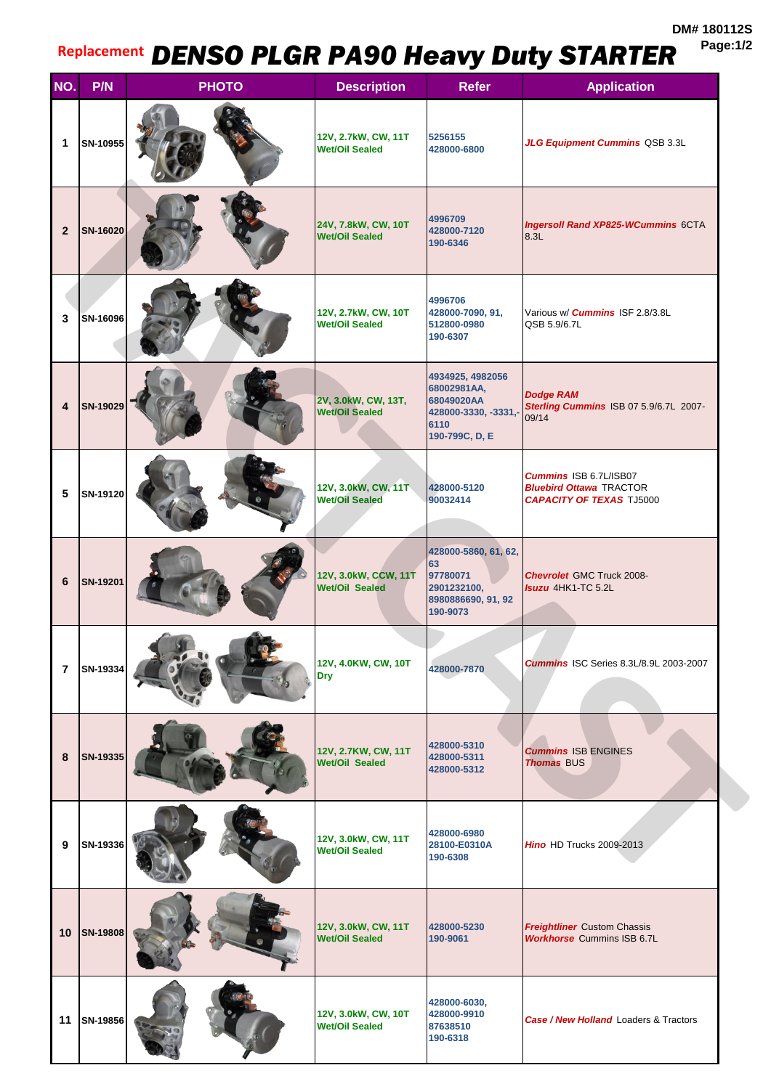**DM# 180112S Page:1/2**

## **Replacement** *DENSO PLGR PA90 Heavy Duty STARTER*

| NO.            | P/N      | <b>PHOTO</b> | <b>Description</b>                            | <b>Refer</b>                                                                                   | <b>Application</b>                                                                                 |
|----------------|----------|--------------|-----------------------------------------------|------------------------------------------------------------------------------------------------|----------------------------------------------------------------------------------------------------|
| 1              | SN-10955 |              | 12V, 2.7kW, CW, 11T<br><b>Wet/Oil Sealed</b>  | 5256155<br>428000-6800                                                                         | JLG Equipment Cummins QSB 3.3L                                                                     |
| $\overline{2}$ | SN-16020 |              | 24V, 7.8kW, CW, 10T<br><b>Wet/Oil Sealed</b>  | 4996709<br>428000-7120<br>190-6346                                                             | <b>Ingersoll Rand XP825-WCummins 6CTA</b><br>8.3L                                                  |
| 3              | SN-16096 |              | 12V, 2.7kW, CW, 10T<br><b>Wet/Oil Sealed</b>  | 4996706<br>428000-7090, 91,<br>512800-0980<br>190-6307                                         | Various w/ <b>Cummins</b> ISF 2.8/3.8L<br>QSB 5.9/6.7L                                             |
| 4              | SN-19029 |              | 2V, 3.0kW, CW, 13T,<br><b>Wet/Oil Sealed</b>  | 4934925, 4982056<br>68002981AA,<br>68049020AA<br>428000-3330, -3331,<br>6110<br>190-799C, D, E | <b>Dodge RAM</b><br>Sterling Cummins ISB 07 5.9/6.7L 2007-<br>09/14                                |
| 5              | SN-19120 |              | 12V, 3.0kW, CW, 11T<br><b>Wet/Oil Sealed</b>  | 428000-5120<br>90032414                                                                        | <b>Cummins ISB 6.7L/ISB07</b><br><b>Bluebird Ottawa TRACTOR</b><br><b>CAPACITY OF TEXAS TJ5000</b> |
| 6              | SN-19201 |              | 12V, 3.0kW, CCW, 11T<br><b>Wet/Oil Sealed</b> | 428000-5860, 61, 62,<br>63<br>97780071<br>2901232100,<br>8980886690, 91, 92<br>190-9073        | <b>Chevrolet GMC Truck 2008-</b><br><b>Isuzu</b> 4HK1-TC 5.2L                                      |
| $\overline{7}$ | SN-19334 |              | 12V, 4.0KW, CW, 10T<br><b>Dry</b>             | 428000-7870                                                                                    | <b>Cummins ISC Series 8.3L/8.9L 2003-2007</b>                                                      |
| 8              | SN-19335 |              | 12V, 2.7KW, CW, 11T<br>Wet/Oil Sealed         | 428000-5310<br>428000-5311<br>428000-5312                                                      | <b>Cummins ISB ENGINES</b><br><b>Thomas BUS</b>                                                    |
| 9              | SN-19336 |              | 12V, 3.0kW, CW, 11T<br><b>Wet/Oil Sealed</b>  | 428000-6980<br>28100-E0310A<br>190-6308                                                        | Hino HD Trucks 2009-2013                                                                           |
| 10             | SN-19808 |              | 12V, 3.0kW, CW, 11T<br><b>Wet/Oil Sealed</b>  | 428000-5230<br>190-9061                                                                        | <b>Freightliner</b> Custom Chassis<br><b>Workhorse Cummins ISB 6.7L</b>                            |
| 11             | SN-19856 |              | 12V, 3.0kW, CW, 10T<br><b>Wet/Oil Sealed</b>  | 428000-6030,<br>428000-9910<br>87638510<br>190-6318                                            | Case / New Holland Loaders & Tractors                                                              |